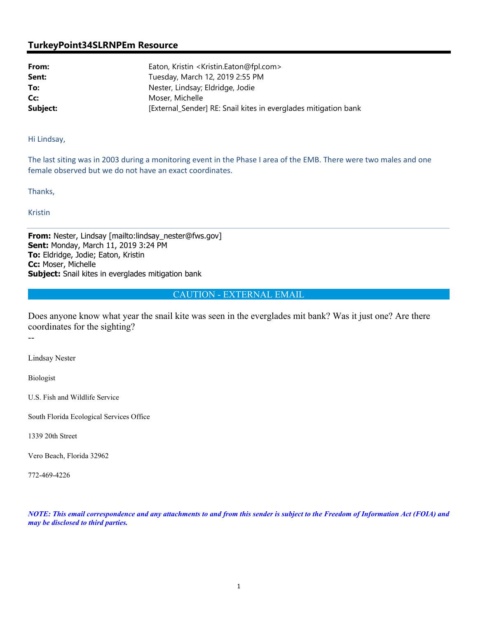## **TurkeyPoint34SLRNPEm Resource**

**From:** Eaton, Kristin <Kristin.Eaton@fpl.com> **Sent:** Tuesday, March 12, 2019 2:55 PM **To:** Nester, Lindsay; Eldridge, Jodie **Cc:** Moser, Michelle **Subject: External Sender** RE: Snail kites in everglades mitigation bank

Hi Lindsay,

The last siting was in 2003 during a monitoring event in the Phase I area of the EMB. There were two males and one female observed but we do not have an exact coordinates.

Thanks,

Kristin

**From:** Nester, Lindsay [mailto:lindsay\_nester@fws.gov] **Sent:** Monday, March 11, 2019 3:24 PM **To:** Eldridge, Jodie; Eaton, Kristin **Cc:** Moser, Michelle **Subject:** Snail kites in everglades mitigation bank

CAUTION - EXTERNAL EMAIL

Does anyone know what year the snail kite was seen in the everglades mit bank? Was it just one? Are there coordinates for the sighting?

--

Lindsay Nester

Biologist

U.S. Fish and Wildlife Service

South Florida Ecological Services Office

1339 20th Street

Vero Beach, Florida 32962

772-469-4226

*NOTE: This email correspondence and any attachments to and from this sender is subject to the Freedom of Information Act (FOIA) and may be disclosed to third parties.*